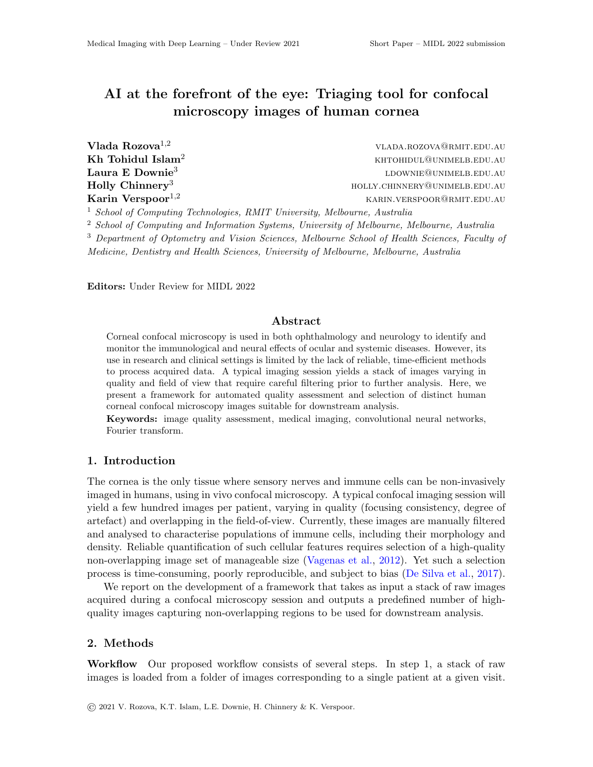# AI at the forefront of the eye: Triaging tool for confocal microscopy images of human cornea

| Vlada Rozova <sup>1,2</sup>                                                          | VLADA.ROZOVA@RMIT.EDU.AU      |
|--------------------------------------------------------------------------------------|-------------------------------|
| Kh Tohidul Islam <sup>2</sup>                                                        | KHTOHIDUL@UNIMELB.EDU.AU      |
| Laura E Downie <sup>3</sup>                                                          | LDOWNIE@UNIMELB.EDU.AU        |
| Holly Chinnery <sup>3</sup>                                                          | HOLLY.CHINNERY@UNIMELB.EDU.AU |
| Karin Verspoor <sup>1,2</sup>                                                        | KARIN.VERSPOOR@RMIT.EDU.AU    |
| <sup>1</sup> School of Computing Technologies, RMIT University, Melbourne, Australia |                               |

<sup>2</sup> School of Computing and Information Systems, University of Melbourne, Melbourne, Australia

<sup>3</sup> Department of Optometry and Vision Sciences, Melbourne School of Health Sciences, Faculty of

Medicine, Dentistry and Health Sciences, University of Melbourne, Melbourne, Australia

Editors: Under Review for MIDL 2022

#### Abstract

Corneal confocal microscopy is used in both ophthalmology and neurology to identify and monitor the immunological and neural effects of ocular and systemic diseases. However, its use in research and clinical settings is limited by the lack of reliable, time-efficient methods to process acquired data. A typical imaging session yields a stack of images varying in quality and field of view that require careful filtering prior to further analysis. Here, we present a framework for automated quality assessment and selection of distinct human corneal confocal microscopy images suitable for downstream analysis.

Keywords: image quality assessment, medical imaging, convolutional neural networks, Fourier transform.

#### 1. Introduction

The cornea is the only tissue where sensory nerves and immune cells can be non-invasively imaged in humans, using in vivo confocal microscopy. A typical confocal imaging session will yield a few hundred images per patient, varying in quality (focusing consistency, degree of artefact) and overlapping in the field-of-view. Currently, these images are manually filtered and analysed to characterise populations of immune cells, including their morphology and density. Reliable quantification of such cellular features requires selection of a high-quality non-overlapping image set of manageable size [\(Vagenas et al.,](#page-2-0) [2012\)](#page-2-0). Yet such a selection process is time-consuming, poorly reproducible, and subject to bias [\(De Silva et al.,](#page-2-1) [2017\)](#page-2-1).

We report on the development of a framework that takes as input a stack of raw images acquired during a confocal microscopy session and outputs a predefined number of highquality images capturing non-overlapping regions to be used for downstream analysis.

#### 2. Methods

Workflow Our proposed workflow consists of several steps. In step 1, a stack of raw images is loaded from a folder of images corresponding to a single patient at a given visit.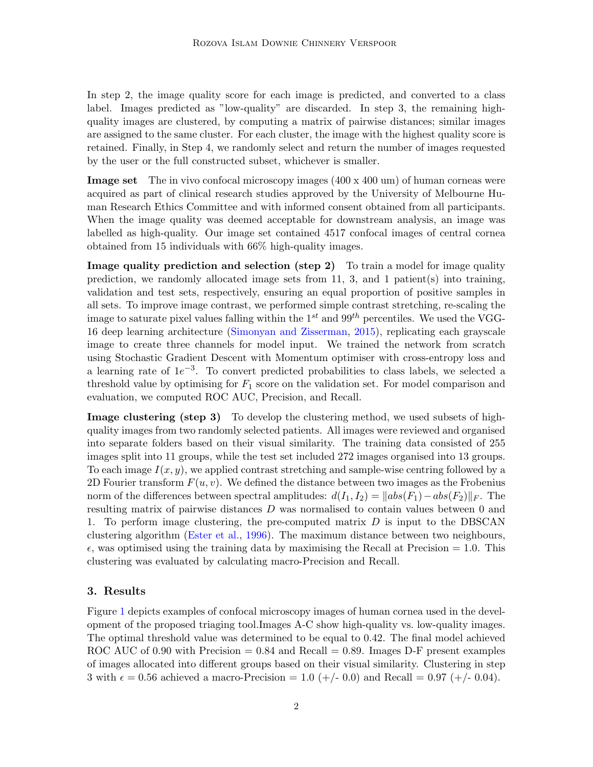In step 2, the image quality score for each image is predicted, and converted to a class label. Images predicted as "low-quality" are discarded. In step 3, the remaining highquality images are clustered, by computing a matrix of pairwise distances; similar images are assigned to the same cluster. For each cluster, the image with the highest quality score is retained. Finally, in Step 4, we randomly select and return the number of images requested by the user or the full constructed subset, whichever is smaller.

**Image set** The in vivo confocal microscopy images  $(400 \times 400 \text{ um})$  of human corneas were acquired as part of clinical research studies approved by the University of Melbourne Human Research Ethics Committee and with informed consent obtained from all participants. When the image quality was deemed acceptable for downstream analysis, an image was labelled as high-quality. Our image set contained 4517 confocal images of central cornea obtained from 15 individuals with 66% high-quality images.

Image quality prediction and selection (step 2) To train a model for image quality prediction, we randomly allocated image sets from  $11, 3$ , and  $1$  patient(s) into training, validation and test sets, respectively, ensuring an equal proportion of positive samples in all sets. To improve image contrast, we performed simple contrast stretching, re-scaling the image to saturate pixel values falling within the  $1^{st}$  and  $99^{th}$  percentiles. We used the VGG-16 deep learning architecture [\(Simonyan and Zisserman,](#page-2-2) [2015\)](#page-2-2), replicating each grayscale image to create three channels for model input. We trained the network from scratch using Stochastic Gradient Descent with Momentum optimiser with cross-entropy loss and a learning rate of  $1e^{-3}$ . To convert predicted probabilities to class labels, we selected a threshold value by optimising for  $F_1$  score on the validation set. For model comparison and evaluation, we computed ROC AUC, Precision, and Recall.

Image clustering (step 3) To develop the clustering method, we used subsets of highquality images from two randomly selected patients. All images were reviewed and organised into separate folders based on their visual similarity. The training data consisted of 255 images split into 11 groups, while the test set included 272 images organised into 13 groups. To each image  $I(x, y)$ , we applied contrast stretching and sample-wise centring followed by a 2D Fourier transform  $F(u, v)$ . We defined the distance between two images as the Frobenius norm of the differences between spectral amplitudes:  $d(I_1, I_2) = ||abs(F_1) - abs(F_2)||_F$ . The resulting matrix of pairwise distances D was normalised to contain values between 0 and 1. To perform image clustering, the pre-computed matrix  $D$  is input to the DBSCAN clustering algorithm [\(Ester et al.,](#page-2-3) [1996\)](#page-2-3). The maximum distance between two neighbours,  $\epsilon$ , was optimised using the training data by maximising the Recall at Precision = 1.0. This clustering was evaluated by calculating macro-Precision and Recall.

### 3. Results

Figure [1](#page-2-4) depicts examples of confocal microscopy images of human cornea used in the development of the proposed triaging tool.Images A-C show high-quality vs. low-quality images. The optimal threshold value was determined to be equal to 0.42. The final model achieved ROC AUC of 0.90 with Precision  $= 0.84$  and Recall  $= 0.89$ . Images D-F present examples of images allocated into different groups based on their visual similarity. Clustering in step 3 with  $\epsilon = 0.56$  achieved a macro-Precision = 1.0 (+/- 0.0) and Recall = 0.97 (+/- 0.04).